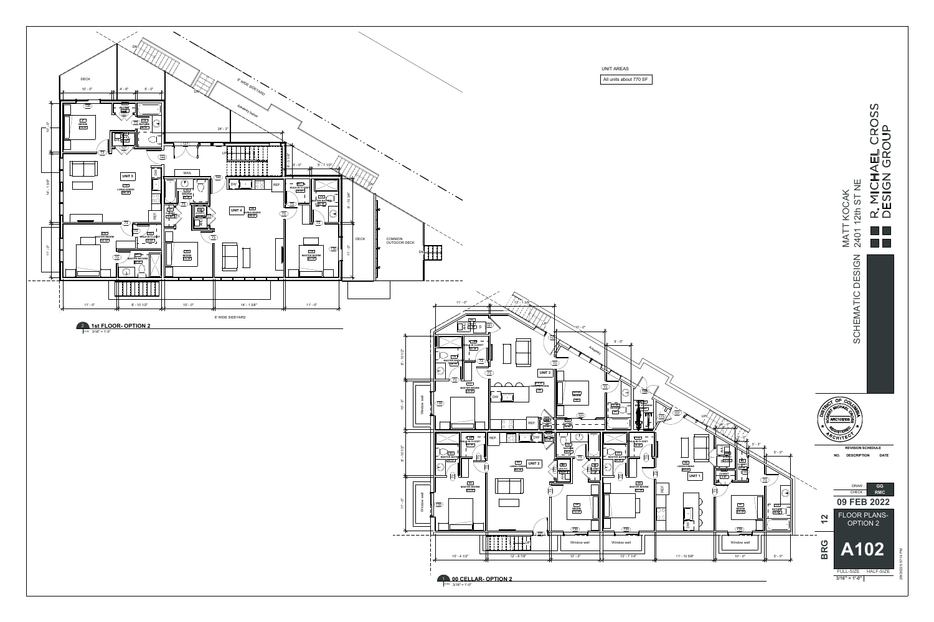